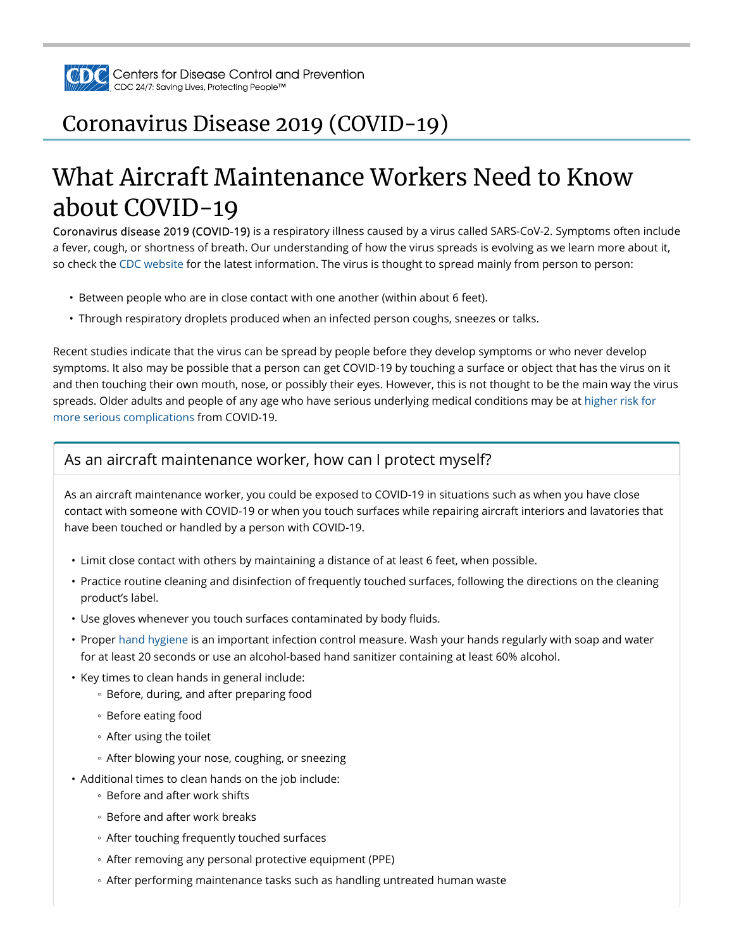

## Coronavirus Disease 2019 (COVID-19)

# What Aircraft Maintenance Workers Need to Know about COVID-19

Coronavirus disease 2019 (COVID-19) is a respiratory illness caused by a virus called SARS-CoV-2. Symptoms often include a fever, cough, or shortness of breath. Our understanding of how the virus spreads is evolving as we learn more about it, so check the CDC website for the latest information. The virus is thought to spread mainly from person to person:

- Between people who are in close contact with one another (within about 6 feet).
- Through respiratory droplets produced when an infected person coughs, sneezes or talks.

Recent studies indicate that the virus can be spread by people before they develop symptoms or who never develop symptoms. It also may be possible that a person can get COVID-19 by touching a surface or object that has the virus on it and then touching their own mouth, nose, or possibly their eyes. However, this is not thought to be the main way the virus spreads. Older adults and people of any age who have serious underlying medical conditions may be at higher risk for more serious complications from COVID-19.

#### As an aircraft maintenance worker, how can I protect myself?

As an aircraft maintenance worker, you could be exposed to COVID-19 in situations such as when you have close contact with someone with COVID-19 or when you touch surfaces while repairing aircraft interiors and lavatories that have been touched or handled by a person with COVID-19.

- Limit close contact with others by maintaining a distance of at least 6 feet, when possible.
- Practice routine cleaning and disinfection of frequently touched surfaces, following the directions on the cleaning product's label.
- Use gloves whenever you touch surfaces contaminated by body fluids.
- Proper hand hygiene is an important infection control measure. Wash your hands regularly with soap and water for at least 20 seconds or use an alcohol-based hand sanitizer containing at least 60% alcohol.
- Key times to clean hands in general include:
	- Before, during, and after preparing food
	- Before eating food
	- After using the toilet
	- After blowing your nose, coughing, or sneezing
- Additional times to clean hands on the job include:
	- Before and after work shifts
	- Before and after work breaks
	- After touching frequently touched surfaces
	- After removing any personal protective equipment (PPE)
	- After performing maintenance tasks such as handling untreated human waste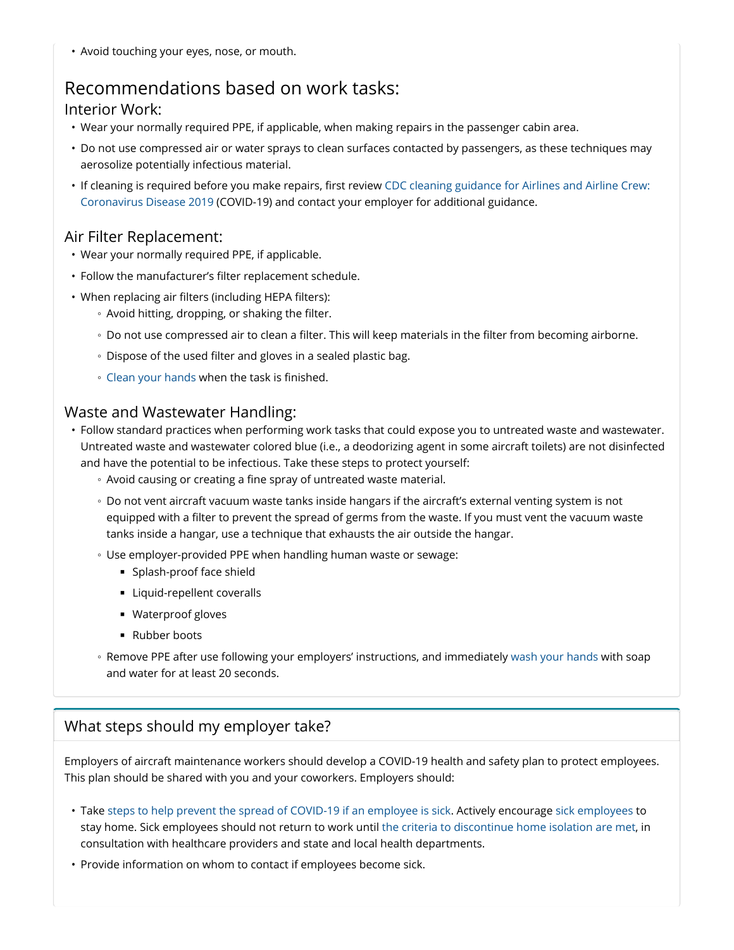• Avoid touching your eyes, nose, or mouth.

### Recommendations based on work tasks:

#### Interior Work:

- Wear your normally required PPE, if applicable, when making repairs in the passenger cabin area.
- Do not use compressed air or water sprays to clean surfaces contacted by passengers, as these techniques may aerosolize potentially infectious material.
- If cleaning is required before you make repairs, first review CDC cleaning guidance for Airlines and Airline Crew: Coronavirus Disease 2019 (COVID-19) and contact your employer for additional guidance.

#### Air Filter Replacement:

- Wear your normally required PPE, if applicable.
- Follow the manufacturer's filter replacement schedule.
- When replacing air filters (including HEPA filters):
	- Avoid hitting, dropping, or shaking the filter.
	- Do not use compressed air to clean a filter. This will keep materials in the filter from becoming airborne.
	- Dispose of the used filter and gloves in a sealed plastic bag.
	- Clean your hands when the task is finished.

#### Waste and Wastewater Handling:

- Follow standard practices when performing work tasks that could expose you to untreated waste and wastewater. Untreated waste and wastewater colored blue (i.e., a deodorizing agent in some aircraft toilets) are not disinfected and have the potential to be infectious. Take these steps to protect yourself:
	- Avoid causing or creating a fine spray of untreated waste material.
	- Do not vent aircraft vacuum waste tanks inside hangars if the aircraft's external venting system is not equipped with a filter to prevent the spread of germs from the waste. If you must vent the vacuum waste tanks inside a hangar, use a technique that exhausts the air outside the hangar.
	- Use employer-provided PPE when handling human waste or sewage:
		- Splash-proof face shield
		- Liquid-repellent coveralls
		- Waterproof gloves
		- Rubber boots
	- Remove PPE after use following your employers' instructions, and immediately wash your hands with soap and water for at least 20 seconds.

#### What steps should my employer take?

Employers of aircraft maintenance workers should develop a COVID-19 health and safety plan to protect employees. This plan should be shared with you and your coworkers. Employers should:

- Take steps to help prevent the spread of COVID-19 if an employee is sick. Actively encourage sick employees to stay home. Sick employees should not return to work until the criteria to discontinue home isolation are met, in consultation with healthcare providers and state and local health departments.
- Provide information on whom to contact if employees become sick.